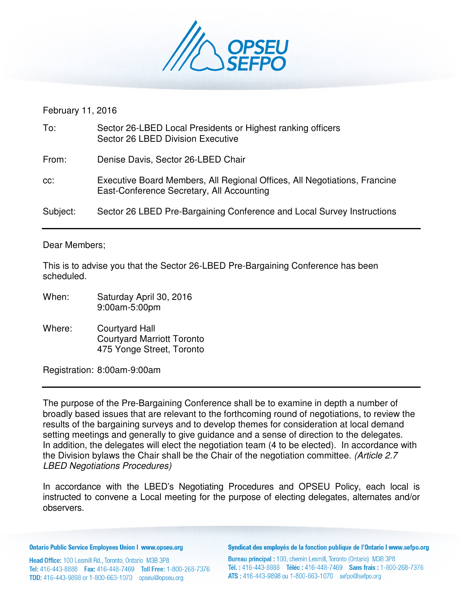

## February 11, 2016

| To:      | Sector 26-LBED Local Presidents or Highest ranking officers<br>Sector 26 LBED Division Executive                       |
|----------|------------------------------------------------------------------------------------------------------------------------|
| From:    | Denise Davis, Sector 26-LBED Chair                                                                                     |
| CC:      | Executive Board Members, All Regional Offices, All Negotiations, Francine<br>East-Conference Secretary, All Accounting |
| Subject: | Sector 26 LBED Pre-Bargaining Conference and Local Survey Instructions                                                 |

## Dear Members;

This is to advise you that the Sector 26-LBED Pre-Bargaining Conference has been scheduled.

- When: Saturday April 30, 2016 9:00am-5:00pm
- Where: Courtyard Hall Courtyard Marriott Toronto 475 Yonge Street, Toronto

Registration: 8:00am-9:00am

The purpose of the Pre-Bargaining Conference shall be to examine in depth a number of broadly based issues that are relevant to the forthcoming round of negotiations, to review the results of the bargaining surveys and to develop themes for consideration at local demand setting meetings and generally to give guidance and a sense of direction to the delegates. In addition, the delegates will elect the negotiation team (4 to be elected). In accordance with the Division bylaws the Chair shall be the Chair of the negotiation committee. (Article 2.7 LBED Negotiations Procedures)

In accordance with the LBED's Negotiating Procedures and OPSEU Policy, each local is instructed to convene a Local meeting for the purpose of electing delegates, alternates and/or observers.

## **Ontario Public Service Employees Union I www.opseu.org**

Head Office: 100 Lesmill Rd., Toronto, Ontario M3B 3P8 Tel: 416-443-8888 Fax: 416-448-7469 Toll Free: 1-800-268-7376 TDD: 416-443-9898 or 1-800-663-1070 opseu@opseu.org

Syndicat des employés de la fonction publique de l'Ontario I www.sefpo.org

Bureau principal: 100, chemin Lesmill, Toronto (Ontario) M3B 3P8 Tél.: 416-443-8888 Téléc: 416-448-7469 Sans frais: 1-800-268-7376 ATS: 416-443-9898 ou 1-800-663-1070 sefpo@sefpo.org